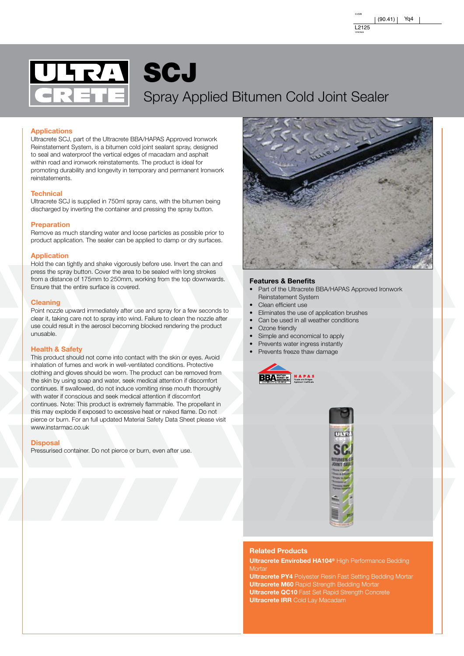# **RZA** SCJ Spray Applied Bitumen Cold Joint Sealer

# **Applications**

Ultracrete SCJ, part of the Ultracrete BBA/HAPAS Approved Ironwork Reinstatement System, is a bitumen cold joint sealant spray, designed to seal and waterproof the vertical edges of macadam and asphalt within road and ironwork reinstatements. The product is ideal for promoting durability and longevity in temporary and permanent Ironwork reinstatements.

#### **Technical**

Ultracrete SCJ is supplied in 750ml spray cans, with the bitumen being discharged by inverting the container and pressing the spray button.

#### **Preparation**

Remove as much standing water and loose particles as possible prior to product application. The sealer can be applied to damp or dry surfaces.

#### **Application**

Hold the can tightly and shake vigorously before use. Invert the can and press the spray button. Cover the area to be sealed with long strokes from a distance of 175mm to 250mm, working from the top downwards. Ensure that the entire surface is covered.

#### **Cleaning**

Point nozzle upward immediately after use and spray for a few seconds to clear it, taking care not to spray into wind. Failure to clean the nozzle after use could result in the aerosol becoming blocked rendering the product unusable.

#### **Health & Safety**

This product should not come into contact with the skin or eyes. Avoid inhalation of fumes and work in well-ventilated conditions. Protective clothing and gloves should be worn. The product can be removed from the skin by using soap and water, seek medical attention if discomfort continues. If swallowed, do not induce vomiting rinse mouth thoroughly with water if conscious and seek medical attention if discomfort continues. Note: This product is extremely flammable. The propellant in this may explode if exposed to excessive heat or naked flame. Do not pierce or burn. For an full updated Material Safety Data Sheet please visit www.instarmac.co.uk

#### **Disposal**

Pressurised container. Do not pierce or burn, even after use.



#### **Features & Benefits**

- Part of the Ultracrete BBA/HAPAS Approved Ironwork Reinstatement System
- Clean efficient use
- Eliminates the use of application brushes
- Can be used in all weather conditions
- Ozone friendly
- Simple and economical to apply
- Prevents water ingress instantly
- Prevents freeze thaw damage





## **Related Products**

**Ultracrete Envirobed HA104®** High Performance Bedding Morta

**Ultracrete PY4** Polyester Resin Fast Setting Bedding Mortar **Ultracrete M60** Rapid Strength Bedding Mortar **Ultracrete QC10** Fast Set Rapid Strength Concrete **Ultracrete IRR** Cold Lay Macadam